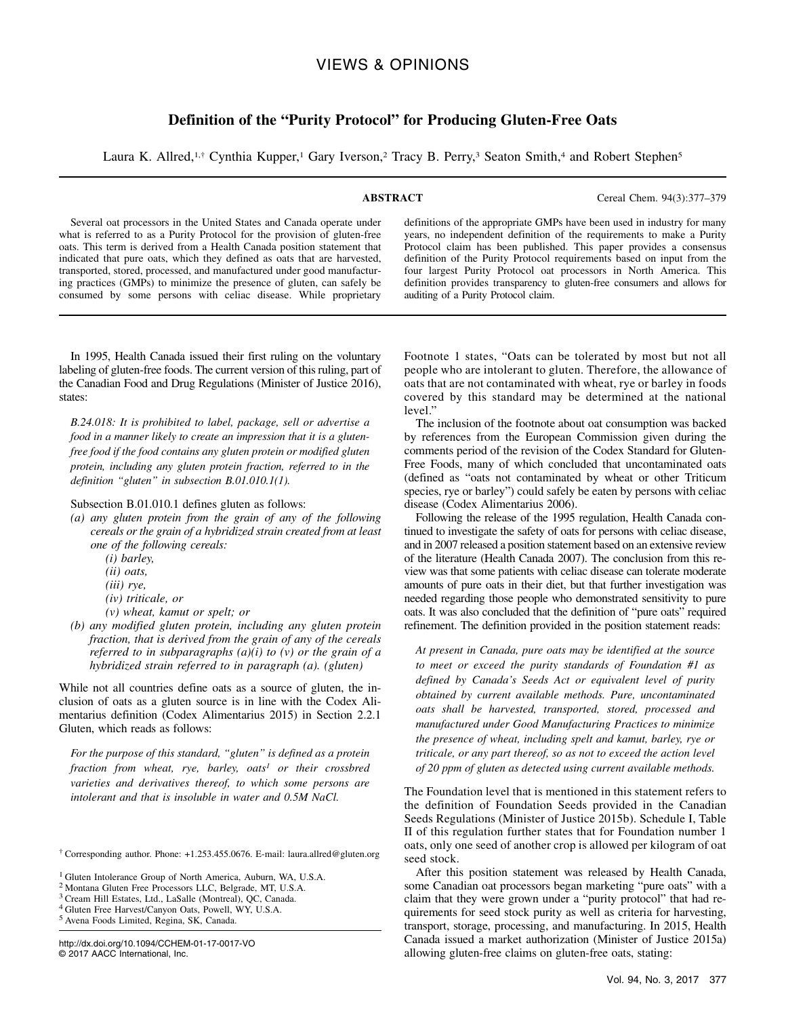# VIEWS & OPINIONS

# Definition of the "Purity Protocol" for Producing Gluten-Free Oats

Laura K. Allred,<sup>1,†</sup> Cynthia Kupper,<sup>1</sup> Gary Iverson,<sup>2</sup> Tracy B. Perry,<sup>3</sup> Seaton Smith,<sup>4</sup> and Robert Stephen<sup>5</sup>

ABSTRACT Cereal Chem. 94(3):377–379

Several oat processors in the United States and Canada operate under what is referred to as a Purity Protocol for the provision of gluten-free oats. This term is derived from a Health Canada position statement that indicated that pure oats, which they defined as oats that are harvested, transported, stored, processed, and manufactured under good manufacturing practices (GMPs) to minimize the presence of gluten, can safely be consumed by some persons with celiac disease. While proprietary

definitions of the appropriate GMPs have been used in industry for many years, no independent definition of the requirements to make a Purity Protocol claim has been published. This paper provides a consensus definition of the Purity Protocol requirements based on input from the four largest Purity Protocol oat processors in North America. This definition provides transparency to gluten-free consumers and allows for auditing of a Purity Protocol claim.

In 1995, Health Canada issued their first ruling on the voluntary labeling of gluten-free foods. The current version of this ruling, part of the Canadian Food and Drug Regulations [\(Minister of Justice 2016\)](#page-2-0), states:

B.24.018: It is prohibited to label, package, sell or advertise a food in a manner likely to create an impression that it is a glutenfree food if the food contains any gluten protein or modified gluten protein, including any gluten protein fraction, referred to in the definition "gluten" in subsection B.01.010.1(1).

Subsection B.01.010.1 defines gluten as follows:

- (a) any gluten protein from the grain of any of the following cereals or the grain of a hybridized strain created from at least one of the following cereals:
	- (i) barley,
	- (ii) oats,
	- (iii) rye,
	- (iv) triticale, or
	- (v) wheat, kamut or spelt; or
- (b) any modified gluten protein, including any gluten protein fraction, that is derived from the grain of any of the cereals referred to in subparagraphs  $(a)(i)$  to  $(v)$  or the grain of a hybridized strain referred to in paragraph (a). (gluten)

While not all countries define oats as a source of gluten, the inclusion of oats as a gluten source is in line with the Codex Alimentarius definition [\(Codex Alimentarius 2015\)](#page-2-0) in Section 2.2.1 Gluten, which reads as follows:

For the purpose of this standard, "gluten" is defined as a protein  $fraction from wheat, rye, barley, oats<sup>1</sup> or their crossed$ varieties and derivatives thereof, to which some persons are intolerant and that is insoluble in water and 0.5M NaCl.

<sup>5</sup> Avena Foods Limited, Regina, SK, Canada.

Footnote 1 states, "Oats can be tolerated by most but not all people who are intolerant to gluten. Therefore, the allowance of oats that are not contaminated with wheat, rye or barley in foods covered by this standard may be determined at the national level."

The inclusion of the footnote about oat consumption was backed by references from the European Commission given during the comments period of the revision of the Codex Standard for Gluten-Free Foods, many of which concluded that uncontaminated oats (defined as "oats not contaminated by wheat or other Triticum species, rye or barley") could safely be eaten by persons with celiac disease ([Codex Alimentarius 2006\)](#page-2-0).

Following the release of the 1995 regulation, Health Canada continued to investigate the safety of oats for persons with celiac disease, and in 2007 released a position statement based on an extensive review of the literature [\(Health Canada 2007\)](#page-2-0). The conclusion from this review was that some patients with celiac disease can tolerate moderate amounts of pure oats in their diet, but that further investigation was needed regarding those people who demonstrated sensitivity to pure oats. It was also concluded that the definition of "pure oats" required refinement. The definition provided in the position statement reads:

At present in Canada, pure oats may be identified at the source to meet or exceed the purity standards of Foundation #1 as defined by Canada's Seeds Act or equivalent level of purity obtained by current available methods. Pure, uncontaminated oats shall be harvested, transported, stored, processed and manufactured under Good Manufacturing Practices to minimize the presence of wheat, including spelt and kamut, barley, rye or triticale, or any part thereof, so as not to exceed the action level of 20 ppm of gluten as detected using current available methods.

The Foundation level that is mentioned in this statement refers to the definition of Foundation Seeds provided in the Canadian Seeds Regulations ([Minister of Justice 2015b\)](#page-2-0). Schedule I, Table II of this regulation further states that for Foundation number 1 oats, only one seed of another crop is allowed per kilogram of oat seed stock.

After this position statement was released by Health Canada, some Canadian oat processors began marketing "pure oats" with a claim that they were grown under a "purity protocol" that had requirements for seed stock purity as well as criteria for harvesting, transport, storage, processing, and manufacturing. In 2015, Health Canada issued a market authorization [\(Minister of Justice 2015a\)](#page-2-0) allowing gluten-free claims on gluten-free oats, stating:

<sup>†</sup> Corresponding author. Phone: +1.253.455.0676. E-mail: [laura.allred@gluten.org](mailto:laura.allred@gluten.org)

<sup>1</sup> Gluten Intolerance Group of North America, Auburn, WA, U.S.A.

<sup>2</sup> Montana Gluten Free Processors LLC, Belgrade, MT, U.S.A.

<sup>3</sup> Cream Hill Estates, Ltd., LaSalle (Montreal), QC, Canada.

<sup>4</sup> Gluten Free Harvest/Canyon Oats, Powell, WY, U.S.A.

<http://dx.doi.org/10.1094/CCHEM-01-17-0017-VO> © 2017 AACC International, Inc.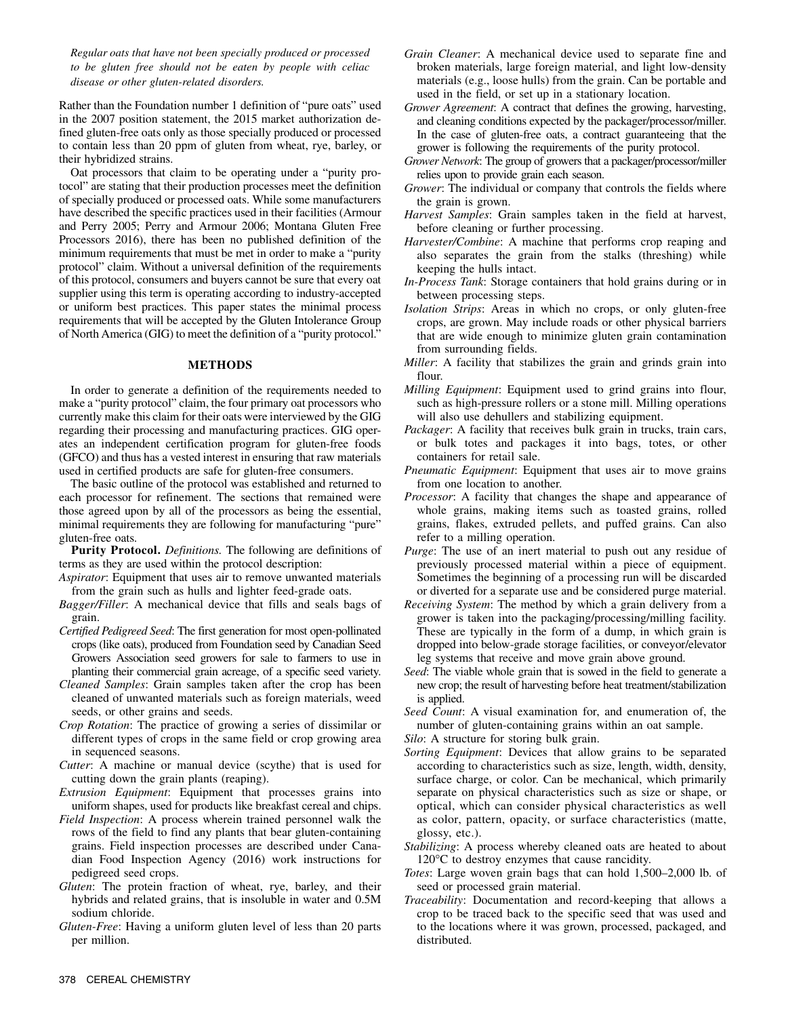Regular oats that have not been specially produced or processed to be gluten free should not be eaten by people with celiac disease or other gluten-related disorders.

Rather than the Foundation number 1 definition of "pure oats" used in the 2007 position statement, the 2015 market authorization defined gluten-free oats only as those specially produced or processed to contain less than 20 ppm of gluten from wheat, rye, barley, or their hybridized strains.

Oat processors that claim to be operating under a "purity protocol" are stating that their production processes meet the definition of specially produced or processed oats. While some manufacturers have described the specific practices used in their facilities [\(Armour](#page-2-0) [and Perry 2005](#page-2-0); [Perry and Armour 2006](#page-2-0); [Montana Gluten Free](#page-2-0) [Processors 2016](#page-2-0)), there has been no published definition of the minimum requirements that must be met in order to make a "purity protocol" claim. Without a universal definition of the requirements of this protocol, consumers and buyers cannot be sure that every oat supplier using this term is operating according to industry-accepted or uniform best practices. This paper states the minimal process requirements that will be accepted by the Gluten Intolerance Group of North America (GIG) to meet the definition of a "purity protocol."

## METHODS

In order to generate a definition of the requirements needed to make a "purity protocol" claim, the four primary oat processors who currently make this claim for their oats were interviewed by the GIG regarding their processing and manufacturing practices. GIG operates an independent certification program for gluten-free foods (GFCO) and thus has a vested interest in ensuring that raw materials used in certified products are safe for gluten-free consumers.

The basic outline of the protocol was established and returned to each processor for refinement. The sections that remained were those agreed upon by all of the processors as being the essential, minimal requirements they are following for manufacturing "pure" gluten-free oats.

Purity Protocol. *Definitions*. The following are definitions of terms as they are used within the protocol description:

- Aspirator: Equipment that uses air to remove unwanted materials from the grain such as hulls and lighter feed-grade oats.
- Bagger/Filler: A mechanical device that fills and seals bags of grain.
- Certified Pedigreed Seed: The first generation for most open-pollinated crops (like oats), produced from Foundation seed by Canadian Seed Growers Association seed growers for sale to farmers to use in planting their commercial grain acreage, of a specific seed variety.
- Cleaned Samples: Grain samples taken after the crop has been cleaned of unwanted materials such as foreign materials, weed seeds, or other grains and seeds.
- Crop Rotation: The practice of growing a series of dissimilar or different types of crops in the same field or crop growing area in sequenced seasons.

Cutter: A machine or manual device (scythe) that is used for cutting down the grain plants (reaping).

Extrusion Equipment: Equipment that processes grains into uniform shapes, used for products like breakfast cereal and chips.

- Field Inspection: A process wherein trained personnel walk the rows of the field to find any plants that bear gluten-containing grains. Field inspection processes are described under [Cana](#page-2-0)[dian Food Inspection Agency \(2016\)](#page-2-0) work instructions for pedigreed seed crops.
- Gluten: The protein fraction of wheat, rye, barley, and their hybrids and related grains, that is insoluble in water and 0.5M sodium chloride.
- Gluten-Free: Having a uniform gluten level of less than 20 parts per million.
- Grain Cleaner: A mechanical device used to separate fine and broken materials, large foreign material, and light low-density materials (e.g., loose hulls) from the grain. Can be portable and used in the field, or set up in a stationary location.
- Grower Agreement: A contract that defines the growing, harvesting, and cleaning conditions expected by the packager/processor/miller. In the case of gluten-free oats, a contract guaranteeing that the grower is following the requirements of the purity protocol.
- Grower Network: The group of growers that a packager/processor/miller relies upon to provide grain each season.
- Grower: The individual or company that controls the fields where the grain is grown.
- Harvest Samples: Grain samples taken in the field at harvest, before cleaning or further processing.
- Harvester/Combine: A machine that performs crop reaping and also separates the grain from the stalks (threshing) while keeping the hulls intact.
- In-Process Tank: Storage containers that hold grains during or in between processing steps.
- Isolation Strips: Areas in which no crops, or only gluten-free crops, are grown. May include roads or other physical barriers that are wide enough to minimize gluten grain contamination from surrounding fields.
- Miller: A facility that stabilizes the grain and grinds grain into flour.
- Milling Equipment: Equipment used to grind grains into flour, such as high-pressure rollers or a stone mill. Milling operations will also use dehullers and stabilizing equipment.
- Packager: A facility that receives bulk grain in trucks, train cars, or bulk totes and packages it into bags, totes, or other containers for retail sale.
- Pneumatic Equipment: Equipment that uses air to move grains from one location to another.
- Processor: A facility that changes the shape and appearance of whole grains, making items such as toasted grains, rolled grains, flakes, extruded pellets, and puffed grains. Can also refer to a milling operation.
- Purge: The use of an inert material to push out any residue of previously processed material within a piece of equipment. Sometimes the beginning of a processing run will be discarded or diverted for a separate use and be considered purge material.
- Receiving System: The method by which a grain delivery from a grower is taken into the packaging/processing/milling facility. These are typically in the form of a dump, in which grain is dropped into below-grade storage facilities, or conveyor/elevator leg systems that receive and move grain above ground.
- Seed: The viable whole grain that is sowed in the field to generate a new crop; the result of harvesting before heat treatment/stabilization is applied.
- Seed Count: A visual examination for, and enumeration of, the number of gluten-containing grains within an oat sample.
- Silo: A structure for storing bulk grain.
- Sorting Equipment: Devices that allow grains to be separated according to characteristics such as size, length, width, density, surface charge, or color. Can be mechanical, which primarily separate on physical characteristics such as size or shape, or optical, which can consider physical characteristics as well as color, pattern, opacity, or surface characteristics (matte, glossy, etc.).
- Stabilizing: A process whereby cleaned oats are heated to about  $120^{\circ}$ C to destroy enzymes that cause rancidity.
- Totes: Large woven grain bags that can hold 1,500–2,000 lb. of seed or processed grain material.
- Traceability: Documentation and record-keeping that allows a crop to be traced back to the specific seed that was used and to the locations where it was grown, processed, packaged, and distributed.